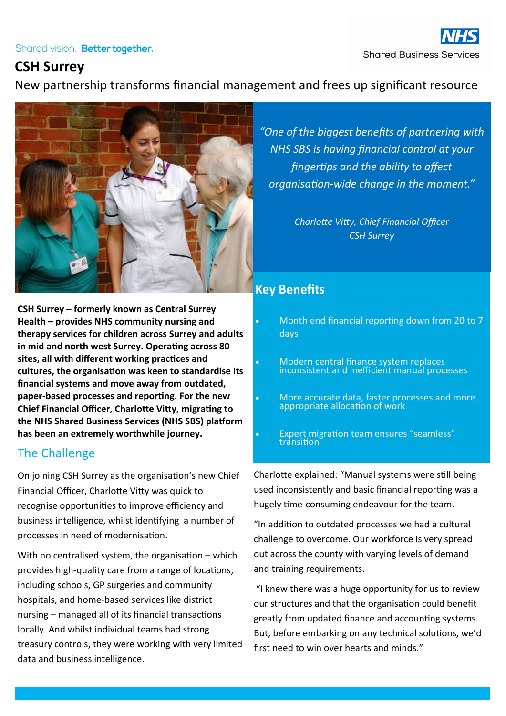#### Shared vision. Better together.

# **CSH Surrey**

New partnership transforms financial management and frees up significant resource



**CSH Surrey – formerly known as Central Surrey Health – provides NHS community nursing and therapy services for children across Surrey and adults in mid and north west Surrey. Operating across 80 sites, all with different working practices and cultures, the organisation was keen to standardise its financial systems and move away from outdated, paper-based processes and reporting. For the new Chief Financial Officer, Charlotte Vitty, migrating to the NHS Shared Business Services (NHS SBS) platform has been an extremely worthwhile journey.** 

# The Challenge

On joining CSH Surrey as the organisation's new Chief Financial Officer, Charlotte Vitty was quick to recognise opportunities to improve efficiency and business intelligence, whilst identifying a number of processes in need of modernisation.

With no centralised system, the organisation – which provides high-quality care from a range of locations, including schools, GP surgeries and community hospitals, and home-based services like district nursing – managed all of its financial transactions locally. And whilst individual teams had strong treasury controls, they were working with very limited data and business intelligence.

# **Key Benefits**

 Month end financial reporting down from 20 to 7 days

*"One of the biggest benefits of partnering with* 

*NHS SBS is having financial control at your* 

*fingertips and the ability to affect* 

*organisation-wide change in the moment."*

*Charlotte Vitty, Chief Financial Officer CSH Surrey*

- Modern central finance system replaces inconsistent and inefficient manual processes
- More accurate data, faster processes and more appropriate allocation of work
- Expert migration team ensures "seamless" transition

Charlotte explained: "Manual systems were still being used inconsistently and basic financial reporting was a hugely time-consuming endeavour for the team.

"In addition to outdated processes we had a cultural challenge to overcome. Our workforce is very spread out across the county with varying levels of demand and training requirements.

"I knew there was a huge opportunity for us to review our structures and that the organisation could benefit greatly from updated finance and accounting systems. But, before embarking on any technical solutions, we'd first need to win over hearts and minds."